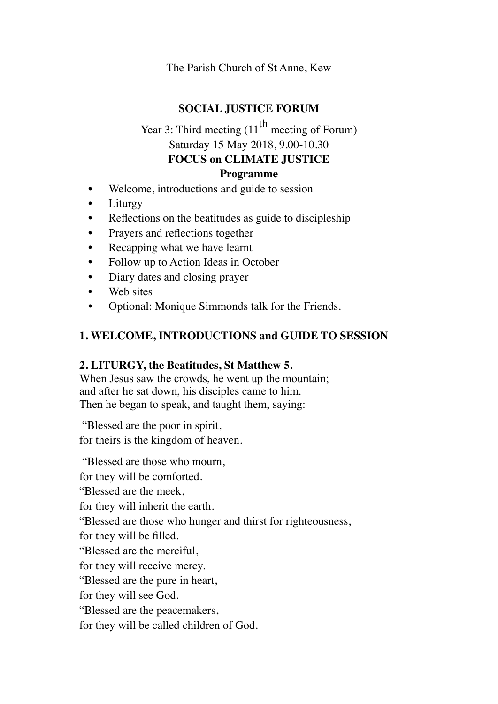The Parish Church of St Anne, Kew

#### **SOCIAL JUSTICE FORUM**

# Year 3: Third meeting  $(11^{th}$  meeting of Forum) Saturday 15 May 2018, 9.00-10.30 **FOCUS on CLIMATE JUSTICE**

#### **Programme**

- Welcome, introductions and guide to session
- Liturgy
- Reflections on the beatitudes as guide to discipleship
- Prayers and reflections together
- Recapping what we have learnt
- Follow up to Action Ideas in October
- Diary dates and closing prayer
- Web sites
- Optional: Monique Simmonds talk for the Friends.

#### **1. WELCOME, INTRODUCTIONS and GUIDE TO SESSION**

#### **2. LITURGY, the Beatitudes, St Matthew 5.**

When Jesus saw the crowds, he went up the mountain; and after he sat down, his disciples came to him. Then he began to speak, and taught them, saying:

"Blessed are the poor in spirit, for theirs is the kingdom of heaven.

"Blessed are those who mourn, for they will be comforted. "Blessed are the meek, for they will inherit the earth. "Blessed are those who hunger and thirst for righteousness, for they will be filled. "Blessed are the merciful, for they will receive mercy. "Blessed are the pure in heart, for they will see God. "Blessed are the peacemakers, for they will be called children of God.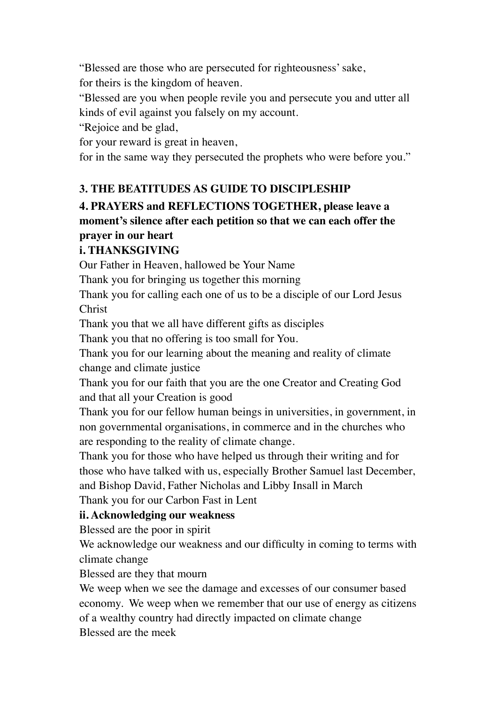"Blessed are those who are persecuted for righteousness' sake,

for theirs is the kingdom of heaven.

"Blessed are you when people revile you and persecute you and utter all kinds of evil against you falsely on my account.

"Rejoice and be glad,

for your reward is great in heaven,

for in the same way they persecuted the prophets who were before you."

# **3. THE BEATITUDES AS GUIDE TO DISCIPLESHIP**

# **4. PRAYERS and REFLECTIONS TOGETHER, please leave a moment's silence after each petition so that we can each offer the prayer in our heart**

# **i. THANKSGIVING**

Our Father in Heaven, hallowed be Your Name

Thank you for bringing us together this morning

Thank you for calling each one of us to be a disciple of our Lord Jesus Christ

Thank you that we all have different gifts as disciples

Thank you that no offering is too small for You.

Thank you for our learning about the meaning and reality of climate change and climate justice

Thank you for our faith that you are the one Creator and Creating God and that all your Creation is good

Thank you for our fellow human beings in universities, in government, in non governmental organisations, in commerce and in the churches who are responding to the reality of climate change.

Thank you for those who have helped us through their writing and for those who have talked with us, especially Brother Samuel last December, and Bishop David, Father Nicholas and Libby Insall in March

Thank you for our Carbon Fast in Lent

### **ii. Acknowledging our weakness**

Blessed are the poor in spirit

We acknowledge our weakness and our difficulty in coming to terms with climate change

Blessed are they that mourn

We weep when we see the damage and excesses of our consumer based economy. We weep when we remember that our use of energy as citizens of a wealthy country had directly impacted on climate change Blessed are the meek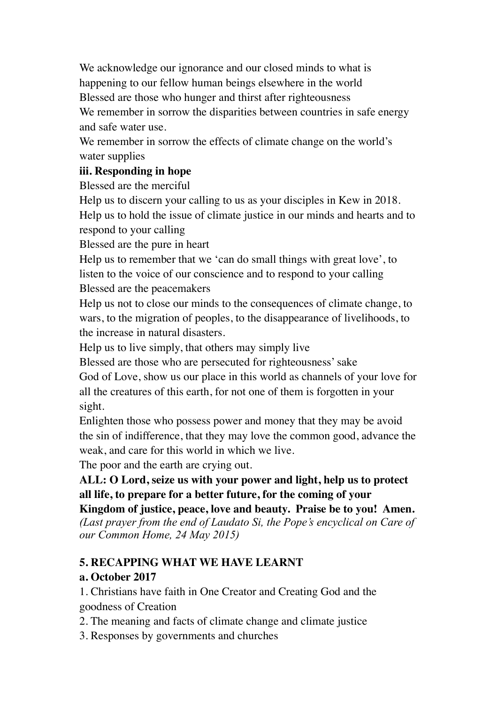We acknowledge our ignorance and our closed minds to what is happening to our fellow human beings elsewhere in the world Blessed are those who hunger and thirst after righteousness We remember in sorrow the disparities between countries in safe energy and safe water use.

We remember in sorrow the effects of climate change on the world's water supplies

#### **iii. Responding in hope**

Blessed are the merciful

Help us to discern your calling to us as your disciples in Kew in 2018. Help us to hold the issue of climate justice in our minds and hearts and to respond to your calling

Blessed are the pure in heart

Help us to remember that we 'can do small things with great love', to listen to the voice of our conscience and to respond to your calling Blessed are the peacemakers

Help us not to close our minds to the consequences of climate change, to wars, to the migration of peoples, to the disappearance of livelihoods, to the increase in natural disasters.

Help us to live simply, that others may simply live

Blessed are those who are persecuted for righteousness' sake

God of Love, show us our place in this world as channels of your love for all the creatures of this earth, for not one of them is forgotten in your sight.

Enlighten those who possess power and money that they may be avoid the sin of indifference, that they may love the common good, advance the weak, and care for this world in which we live.

The poor and the earth are crying out.

# **ALL: O Lord, seize us with your power and light, help us to protect all life, to prepare for a better future, for the coming of your**

**Kingdom of justice, peace, love and beauty. Praise be to you! Amen.**  *(Last prayer from the end of Laudato Si, the Pope's encyclical on Care of our Common Home, 24 May 2015)* 

# **5. RECAPPING WHAT WE HAVE LEARNT**

# **a. October 2017**

1. Christians have faith in One Creator and Creating God and the goodness of Creation

2. The meaning and facts of climate change and climate justice

3. Responses by governments and churches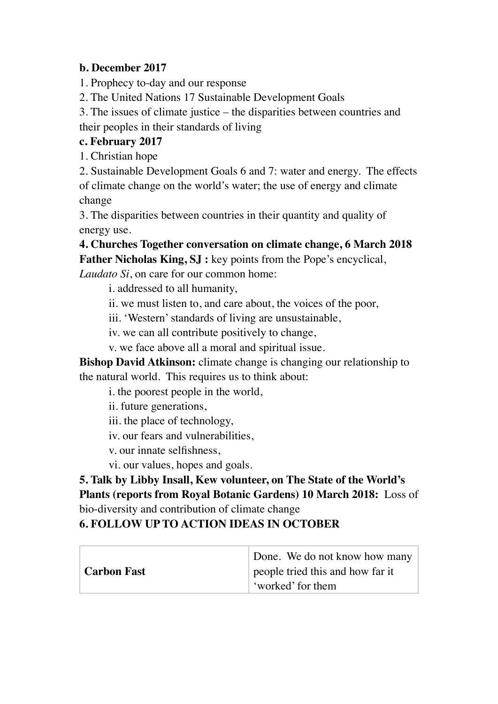#### **b. December 2017**

1. Prophecy to-day and our response

2. The United Nations 17 Sustainable Development Goals

3. The issues of climate justice – the disparities between countries and their peoples in their standards of living

## **c. February 2017**

1. Christian hope

2. Sustainable Development Goals 6 and 7: water and energy. The effects of climate change on the world's water; the use of energy and climate change

3. The disparities between countries in their quantity and quality of energy use.

**4. Churches Together conversation on climate change, 6 March 2018 Father Nicholas King, SJ :** key points from the Pope's encyclical,

*Laudato Si*, on care for our common home:

i. addressed to all humanity,

ii. we must listen to, and care about, the voices of the poor,

iii. 'Western' standards of living are unsustainable,

iv. we can all contribute positively to change,

v. we face above all a moral and spiritual issue.

**Bishop David Atkinson:** climate change is changing our relationship to the natural world. This requires us to think about:

i. the poorest people in the world,

ii. future generations,

iii. the place of technology,

iv. our fears and vulnerabilities,

v. our innate selfishness,

vi. our values, hopes and goals.

**5. Talk by Libby Insall, Kew volunteer, on The State of the World's Plants (reports from Royal Botanic Gardens) 10 March 2018:** Loss of bio-diversity and contribution of climate change

# **6. FOLLOW UP TO ACTION IDEAS IN OCTOBER**

|               | Done. We do not know how many    |
|---------------|----------------------------------|
| ∣ Carbon Fast | people tried this and how far it |
|               | 'worked' for them                |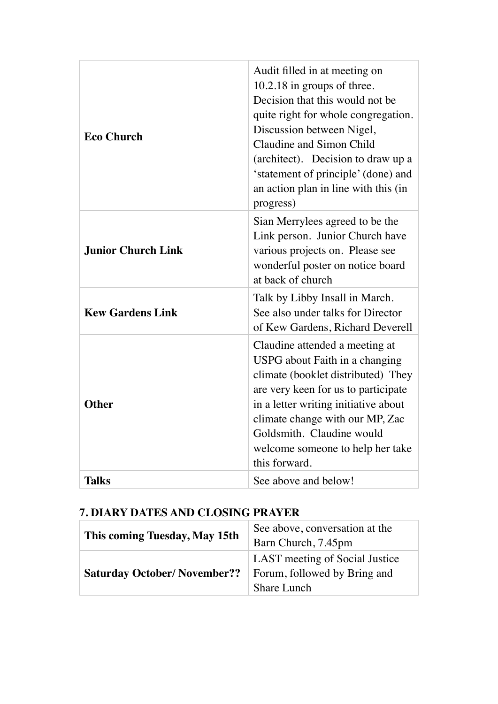| <b>Eco Church</b>         | Audit filled in at meeting on<br>10.2.18 in groups of three.<br>Decision that this would not be<br>quite right for whole congregation.<br>Discussion between Nigel,<br>Claudine and Simon Child<br>(architect). Decision to draw up a<br>'statement of principle' (done) and<br>an action plan in line with this (in<br>progress) |
|---------------------------|-----------------------------------------------------------------------------------------------------------------------------------------------------------------------------------------------------------------------------------------------------------------------------------------------------------------------------------|
| <b>Junior Church Link</b> | Sian Merrylees agreed to be the<br>Link person. Junior Church have<br>various projects on. Please see<br>wonderful poster on notice board<br>at back of church                                                                                                                                                                    |
| <b>Kew Gardens Link</b>   | Talk by Libby Insall in March.<br>See also under talks for Director<br>of Kew Gardens, Richard Deverell                                                                                                                                                                                                                           |
| <b>Other</b>              | Claudine attended a meeting at<br>USPG about Faith in a changing<br>climate (booklet distributed) They<br>are very keen for us to participate<br>in a letter writing initiative about<br>climate change with our MP, Zac<br>Goldsmith. Claudine would<br>welcome someone to help her take<br>this forward.                        |
| <b>Talks</b>              | See above and below!                                                                                                                                                                                                                                                                                                              |

# **7. DIARY DATES AND CLOSING PRAYER**

| This coming Tuesday, May 15th      | See above, conversation at the |
|------------------------------------|--------------------------------|
|                                    | Barn Church, 7.45pm            |
| <b>Saturday October/November??</b> | LAST meeting of Social Justice |
|                                    | Forum, followed by Bring and   |
|                                    | <b>Share Lunch</b>             |